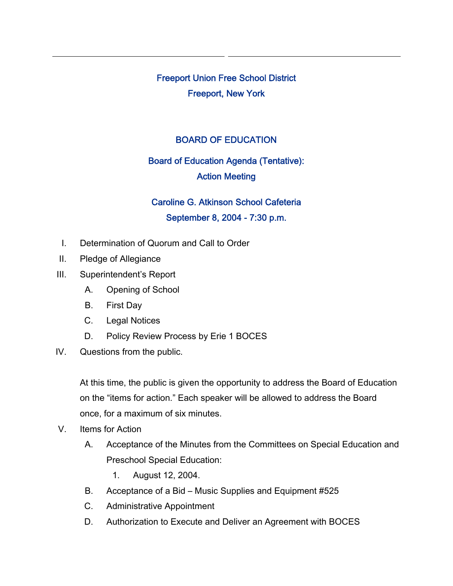Freeport Union Free School District Freeport, New York

## BOARD OF EDUCATION

## Board of Education Agenda (Tentative): Action Meeting

## Caroline G. Atkinson School Cafeteria September 8, 2004 - 7:30 p.m.

- I. Determination of Quorum and Call to Order
- II. Pledge of Allegiance
- III. Superintendent's Report
	- A. Opening of School
	- B. First Day
	- C. Legal Notices
	- D. Policy Review Process by Erie 1 BOCES
- IV. Questions from the public.

At this time, the public is given the opportunity to address the Board of Education on the "items for action." Each speaker will be allowed to address the Board once, for a maximum of six minutes.

- V. Items for Action
	- A. Acceptance of the Minutes from the Committees on Special Education and Preschool Special Education:
		- 1. August 12, 2004.
	- B. Acceptance of a Bid Music Supplies and Equipment #525
	- C. Administrative Appointment
	- D. Authorization to Execute and Deliver an Agreement with BOCES